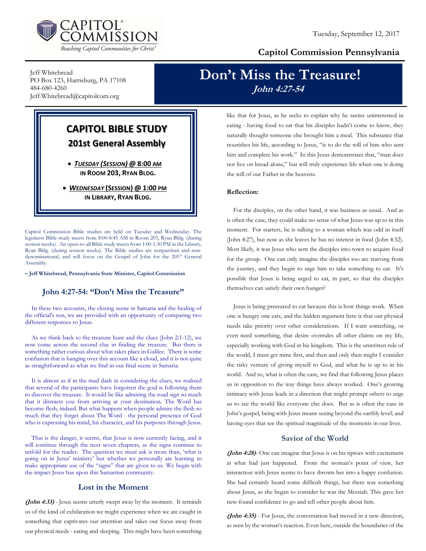

### Capitol Commission Pennsylvania

Jeff Whitebread PO Box 123, Harrisburg, PA 17108 484-680-4260 Jeff.Whitebread@capitolcom.org

## Don't Miss the Treasure! John 4:27-54

# CAPITOL BIBLE STUDY 201st General Assembly

 TUESDAY (SESSION) @ 8:00 AM IN ROOM 203, RYAN BLDG.

• WEDNESDAY (SESSION) @ 1:00 PM IN LIBRARY, RYAN BLDG.

Capitol Commission Bible studies are held on Tuesday and Wednesday. The legislator Bible study meets from 8:00-8:45 AM in Room 203, Ryan Bldg. (during session weeks). An open-to-all Bible study meets from 1:00-1:30 PM in the Library, Ryan Bldg. (during session weeks). The Bible studies are nonpartisan and nondenominational, and will focus on the Gospel of John for the 2017 General Assembly.

– Jeff Whitebread, Pennsylvania State Minister, Capitol Commission

#### John 4:27-54: "Don't Miss the Treasure"

In these two accounts, the closing scene in Samaria and the healing of the official's son, we are provided with an opportunity of comparing two different responses to Jesus.

As we think back to the treasure hunt and the clues (John 2:1-12), we now come across the second clue in finding the treasure. But there is something rather curious about what takes place in Galilee. There is some confusion that is hanging over this account like a cloud, and it is not quite as straightforward as what we find in our final scene in Samaria.

It is almost as if in the mad dash in considering the clues, we realized that several of the participants have forgotten the goal is following them to discover the treasure. It would be like admiring the road sign so much that it distracts you from arriving at your destination. The Word has become flesh, indeed. But what happens when people admire the flesh so much that they forget about The Word - the personal presence of God who is expressing his mind, his character, and his purposes through Jesus.

That is the danger, it seems, that Jesus is now currently facing, and it will continue through the next seven chapters, as the signs continue to unfold for the reader. The question we must ask is more than, 'what is going on in Jesus' ministry' but whether we personally are learning to make appropriate use of the "signs" that are given to us. We begin with the impact Jesus has upon this Samaritan community.

#### Lost in the Moment

(John 4:33) - Jesus seems utterly swept away by the moment. It reminds us of the kind of exhilaration we might experience when we are caught in something that captivates our attention and takes our focus away from our physical needs - eating and sleeping. This might have been something like that for Jesus, as he seeks to explain why he seems uninterested in eating - having food to eat that his disciples hadn't come to know, they naturally thought someone else brought him a meal. This substance that nourishes his life, according to Jesus, "is to do the will of him who sent him and complete his work." In this Jesus demonstrates that, "man does not live on bread alone," but will truly experience life when one is doing the will of our Father in the heavens.

#### Reflection:

For the disciples, on the other hand, it was business as usual. And as is often the case, they could make no sense of what Jesus was up to in this moment. For starters, he is talking to a woman which was odd in itself (John 4:27), but now as she leaves he has no interest in food (John 4:32). Most likely, it was Jesus who sent the disciples into town to acquire food for the group. One can only imagine the disciples too are starving from the journey, and they begin to urge him to take something to eat. It's possible that Jesus is being urged to eat, in part, so that the disciples themselves can satisfy their own hunger?

Jesus is being pressured to eat because this is how things work. When one is hungry one eats, and the hidden argument here is that our physical needs take priority over other considerations. If I want something, or even need something, that desire overrules all other claims on my life, especially working with God in his kingdom. This is the unwritten rule of the world, I must get mine first, and then and only then might I consider the risky venture of giving myself to God, and what he is up to in his world. And so, what is often the case, we find that following Jesus places us in opposition to the way things have always worked. One's growing intimacy with Jesus leads in a direction that might prompt others to urge us to see the world like everyone else does. But as is often the case in John's gospel, being with Jesus means seeing beyond the earthly level; and having eyes that see the spiritual magnitude of the moments in our lives.

#### Savior of the World

(John 4:28)- One can imagine that Jesus is on his tiptoes with excitement at what had just happened. From the woman's point of view, her interaction with Jesus seems to have thrown her into a happy confusion. She had certainly heard some difficult things, but there was something about Jesus, as she began to consider he was the Messiah. This gave her new-found confidence to go and tell other people about him.

(John 4:35) - For Jesus, the conversation had moved in a new direction, as seen by the woman's reaction. Even here, outside the boundaries of the